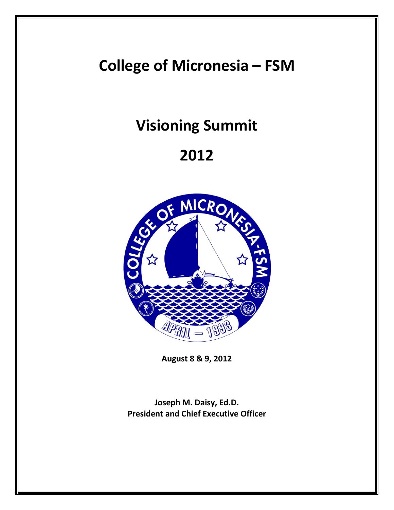**College of Micronesia – FSM**

# **Visioning Summit**

# **2012**



**August 8 & 9, 2012**

**Joseph M. Daisy, Ed.D. President and Chief Executive Officer**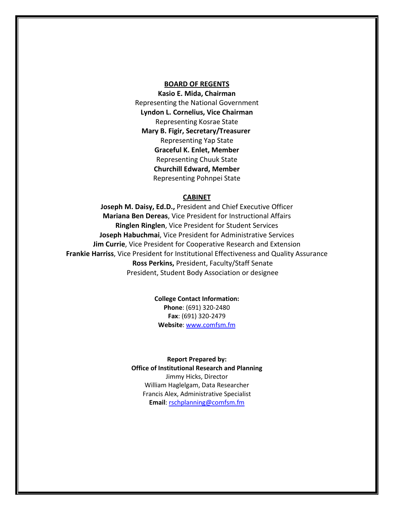#### **BOARD OF REGENTS**

**Kasio E. Mida, Chairman** Representing the National Government **Lyndon L. Cornelius, Vice Chairman** Representing Kosrae State **Mary B. Figir, Secretary/Treasurer**  Representing Yap State **Graceful K. Enlet, Member** Representing Chuuk State **Churchill Edward, Member** Representing Pohnpei State

#### **CABINET**

**Joseph M. Daisy, Ed.D.,** President and Chief Executive Officer **Mariana Ben Dereas**, Vice President for Instructional Affairs **Ringlen Ringlen**, Vice President for Student Services **Joseph Habuchmai**, Vice President for Administrative Services **Jim Currie**, Vice President for Cooperative Research and Extension **Frankie Harriss**, Vice President for Institutional Effectiveness and Quality Assurance **Ross Perkins,** President, Faculty/Staff Senate President, Student Body Association or designee

> **College Contact Information: Phone**: (691) 320-2480 **Fax**: (691) 320-2479 **Website**: [www.comfsm.fm](http://www.comfsm.fm/)

**Report Prepared by: Office of Institutional Research and Planning** Jimmy Hicks, Director William Haglelgam, Data Researcher Francis Alex, Administrative Specialist **Email**[: rschplanning@comfsm.fm](mailto:rschplanning@comfsm.fm)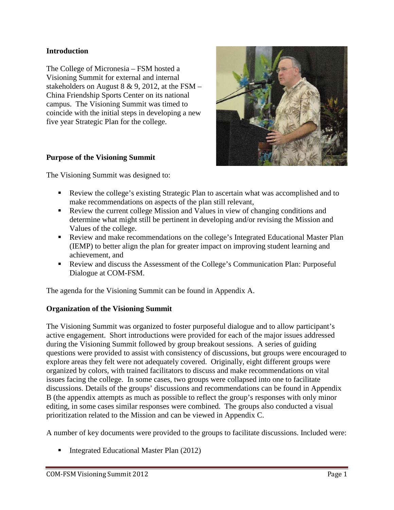### **Introduction**

The College of Micronesia – FSM hosted a Visioning Summit for external and internal stakeholders on August 8 & 9, 2012, at the FSM – China Friendship Sports Center on its national campus. The Visioning Summit was timed to coincide with the initial steps in developing a new five year Strategic Plan for the college.

#### **Purpose of the Visioning Summit**

The Visioning Summit was designed to:

- Review the college's existing Strategic Plan to ascertain what was accomplished and to make recommendations on aspects of the plan still relevant,
- Review the current college Mission and Values in view of changing conditions and determine what might still be pertinent in developing and/or revising the Mission and Values of the college.
- Review and make recommendations on the college's Integrated Educational Master Plan (IEMP) to better align the plan for greater impact on improving student learning and achievement, and
- Review and discuss the Assessment of the College's Communication Plan: Purposeful Dialogue at COM-FSM.

The agenda for the Visioning Summit can be found in Appendix A.

#### **Organization of the Visioning Summit**

The Visioning Summit was organized to foster purposeful dialogue and to allow participant's active engagement. Short introductions were provided for each of the major issues addressed during the Visioning Summit followed by group breakout sessions. A series of guiding questions were provided to assist with consistency of discussions, but groups were encouraged to explore areas they felt were not adequately covered. Originally, eight different groups were organized by colors, with trained facilitators to discuss and make recommendations on vital issues facing the college. In some cases, two groups were collapsed into one to facilitate discussions. Details of the groups' discussions and recommendations can be found in Appendix B (the appendix attempts as much as possible to reflect the group's responses with only minor editing, in some cases similar responses were combined. The groups also conducted a visual prioritization related to the Mission and can be viewed in Appendix C.

A number of key documents were provided to the groups to facilitate discussions. Included were:

■ Integrated Educational Master Plan  $(2012)$ 

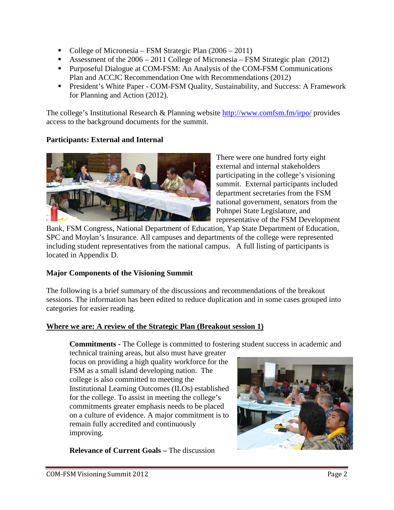- College of Micronesia FSM Strategic Plan  $(2006 2011)$
- Assessment of the 2006 2011 College of Micronesia FSM Strategic plan (2012)
- **Purposeful Dialogue at COM-FSM: An Analysis of the COM-FSM Communications** Plan and ACCJC Recommendation One with Recommendations (2012)
- President's White Paper COM-FSM Quality, Sustainability, and Success: A Framework for Planning and Action (2012).

The college's Institutional Research & Planning website<http://www.comfsm.fm/irpo/> provides access to the background documents for the summit.

# **Participants: External and Internal**



There were one hundred forty eight external and internal stakeholders participating in the college's visioning summit. External participants included department secretaries from the FSM national government, senators from the Pohnpei State Legislature, and representative of the FSM Development

Bank, FSM Congress, National Department of Education, Yap State Department of Education, SPC and Moylan's Insurance. All campuses and departments of the college were represented including student representatives from the national campus. A full listing of participants is located in Appendix D.

## **Major Components of the Visioning Summit**

The following is a brief summary of the discussions and recommendations of the breakout sessions. The information has been edited to reduce duplication and in some cases grouped into categories for easier reading.

## **Where we are: A review of the Strategic Plan (Breakout session 1)**

**Commitments -** The College is committed to fostering student success in academic and

technical training areas, but also must have greater focus on providing a high quality workforce for the FSM as a small island developing nation. The college is also committed to meeting the Institutional Learning Outcomes (ILOs) established for the college. To assist in meeting the college's commitments greater emphasis needs to be placed on a culture of evidence. A major commitment is to remain fully accredited and continuously improving.

**Relevance of Current Goals –** The discussion

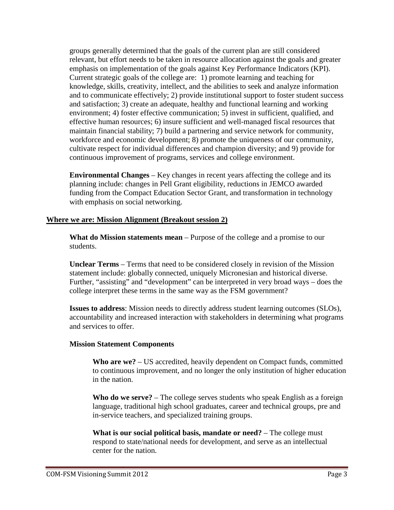groups generally determined that the goals of the current plan are still considered relevant, but effort needs to be taken in resource allocation against the goals and greater emphasis on implementation of the goals against Key Performance Indicators (KPI). Current strategic goals of the college are: 1) promote learning and teaching for knowledge, skills, creativity, intellect, and the abilities to seek and analyze information and to communicate effectively; 2) provide institutional support to foster student success and satisfaction; 3) create an adequate, healthy and functional learning and working environment; 4) foster effective communication; 5) invest in sufficient, qualified, and effective human resources; 6) insure sufficient and well-managed fiscal resources that maintain financial stability; 7) build a partnering and service network for community, workforce and economic development; 8) promote the uniqueness of our community, cultivate respect for individual differences and champion diversity; and 9) provide for continuous improvement of programs, services and college environment.

**Environmental Changes** – Key changes in recent years affecting the college and its planning include: changes in Pell Grant eligibility, reductions in JEMCO awarded funding from the Compact Education Sector Grant, and transformation in technology with emphasis on social networking.

#### **Where we are: Mission Alignment (Breakout session 2)**

**What do Mission statements mean** – Purpose of the college and a promise to our students.

**Unclear Terms** – Terms that need to be considered closely in revision of the Mission statement include: globally connected, uniquely Micronesian and historical diverse. Further, "assisting" and "development" can be interpreted in very broad ways – does the college interpret these terms in the same way as the FSM government?

**Issues to address**: Mission needs to directly address student learning outcomes (SLOs), accountability and increased interaction with stakeholders in determining what programs and services to offer.

#### **Mission Statement Components**

**Who are we?** – US accredited, heavily dependent on Compact funds, committed to continuous improvement, and no longer the only institution of higher education in the nation.

**Who do we serve?** – The college serves students who speak English as a foreign language, traditional high school graduates, career and technical groups, pre and in-service teachers, and specialized training groups.

**What is our social political basis, mandate or need?** – The college must respond to state/national needs for development, and serve as an intellectual center for the nation.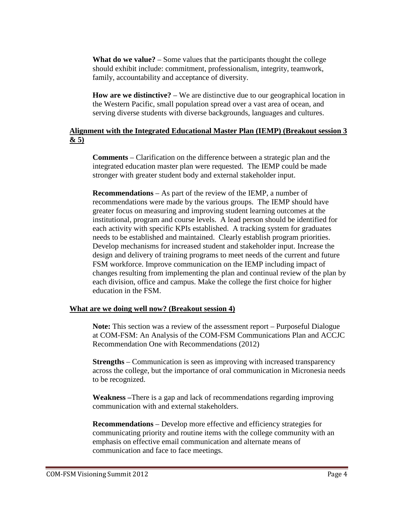**What do we value?** – Some values that the participants thought the college should exhibit include: commitment, professionalism, integrity, teamwork, family, accountability and acceptance of diversity.

**How are we distinctive?** – We are distinctive due to our geographical location in the Western Pacific, small population spread over a vast area of ocean, and serving diverse students with diverse backgrounds, languages and cultures.

## **Alignment with the Integrated Educational Master Plan (IEMP) (Breakout session 3 & 5)**

**Comments** – Clarification on the difference between a strategic plan and the integrated education master plan were requested. The IEMP could be made stronger with greater student body and external stakeholder input.

**Recommendations** – As part of the review of the IEMP, a number of recommendations were made by the various groups. The IEMP should have greater focus on measuring and improving student learning outcomes at the institutional, program and course levels. A lead person should be identified for each activity with specific KPIs established. A tracking system for graduates needs to be established and maintained. Clearly establish program priorities. Develop mechanisms for increased student and stakeholder input. Increase the design and delivery of training programs to meet needs of the current and future FSM workforce. Improve communication on the IEMP including impact of changes resulting from implementing the plan and continual review of the plan by each division, office and campus. Make the college the first choice for higher education in the FSM.

#### **What are we doing well now? (Breakout session 4)**

**Note:** This section was a review of the assessment report – Purposeful Dialogue at COM-FSM: An Analysis of the COM-FSM Communications Plan and ACCJC Recommendation One with Recommendations (2012)

**Strengths** – Communication is seen as improving with increased transparency across the college, but the importance of oral communication in Micronesia needs to be recognized.

**Weakness –**There is a gap and lack of recommendations regarding improving communication with and external stakeholders.

**Recommendations** – Develop more effective and efficiency strategies for communicating priority and routine items with the college community with an emphasis on effective email communication and alternate means of communication and face to face meetings.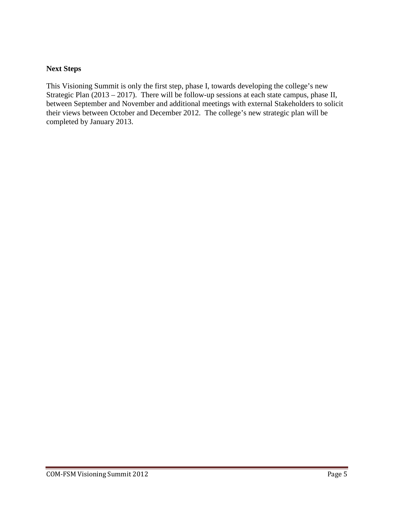## **Next Steps**

This Visioning Summit is only the first step, phase I, towards developing the college's new Strategic Plan (2013 – 2017). There will be follow-up sessions at each state campus, phase II, between September and November and additional meetings with external Stakeholders to solicit their views between October and December 2012. The college's new strategic plan will be completed by January 2013.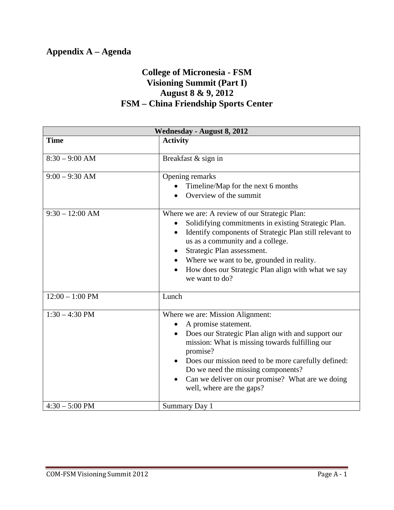# **Appendix A – Agenda**

# **College of Micronesia - FSM Visioning Summit (Part I) August 8 & 9, 2012 FSM – China Friendship Sports Center**

| <b>Wednesday - August 8, 2012</b> |                                                                                                                                                                                                                                                                                                                                                                                                    |  |
|-----------------------------------|----------------------------------------------------------------------------------------------------------------------------------------------------------------------------------------------------------------------------------------------------------------------------------------------------------------------------------------------------------------------------------------------------|--|
| <b>Time</b>                       | <b>Activity</b>                                                                                                                                                                                                                                                                                                                                                                                    |  |
| $8:30 - 9:00$ AM                  | Breakfast & sign in                                                                                                                                                                                                                                                                                                                                                                                |  |
| $9:00 - 9:30$ AM                  | Opening remarks<br>Timeline/Map for the next 6 months<br>Overview of the summit                                                                                                                                                                                                                                                                                                                    |  |
| $9:30 - 12:00$ AM                 | Where we are: A review of our Strategic Plan:<br>Solidifying commitments in existing Strategic Plan.<br>Identify components of Strategic Plan still relevant to<br>us as a community and a college.<br>Strategic Plan assessment.<br>$\bullet$<br>Where we want to be, grounded in reality.<br>How does our Strategic Plan align with what we say<br>we want to do?                                |  |
| $12:00 - 1:00$ PM                 | Lunch                                                                                                                                                                                                                                                                                                                                                                                              |  |
| $1:30 - 4:30$ PM                  | Where we are: Mission Alignment:<br>A promise statement.<br>Does our Strategic Plan align with and support our<br>$\bullet$<br>mission: What is missing towards fulfilling our<br>promise?<br>Does our mission need to be more carefully defined:<br>$\bullet$<br>Do we need the missing components?<br>Can we deliver on our promise? What are we doing<br>$\bullet$<br>well, where are the gaps? |  |
| $4:30 - 5:00$ PM                  | Summary Day 1                                                                                                                                                                                                                                                                                                                                                                                      |  |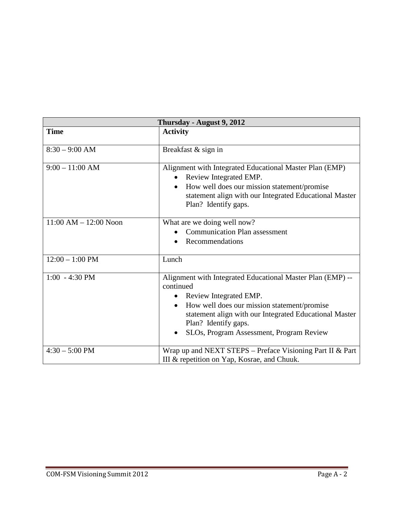| Thursday - August 9, 2012 |                                                                                                                                                                                                                                                                                |  |
|---------------------------|--------------------------------------------------------------------------------------------------------------------------------------------------------------------------------------------------------------------------------------------------------------------------------|--|
| <b>Time</b>               | <b>Activity</b>                                                                                                                                                                                                                                                                |  |
| $8:30 - 9:00$ AM          | Breakfast & sign in                                                                                                                                                                                                                                                            |  |
| $9:00 - 11:00$ AM         | Alignment with Integrated Educational Master Plan (EMP)<br>Review Integrated EMP.<br>How well does our mission statement/promise<br>statement align with our Integrated Educational Master<br>Plan? Identify gaps.                                                             |  |
| $11:00 AM - 12:00 Noon$   | What are we doing well now?<br><b>Communication Plan assessment</b><br>Recommendations                                                                                                                                                                                         |  |
| $12:00 - 1:00$ PM         | Lunch                                                                                                                                                                                                                                                                          |  |
| $1:00 - 4:30 \text{ PM}$  | Alignment with Integrated Educational Master Plan (EMP) --<br>continued<br>Review Integrated EMP.<br>How well does our mission statement/promise<br>statement align with our Integrated Educational Master<br>Plan? Identify gaps.<br>SLOs, Program Assessment, Program Review |  |
| $4:30 - 5:00$ PM          | Wrap up and NEXT STEPS - Preface Visioning Part II & Part<br>III & repetition on Yap, Kosrae, and Chuuk.                                                                                                                                                                       |  |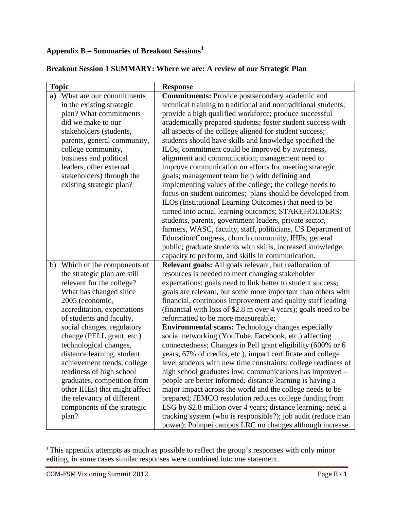# **Appendix B – Summaries of Breakout Sessions[1](#page-9-0)**

| <b>Topic</b>                  | <b>Response</b>                                                 |
|-------------------------------|-----------------------------------------------------------------|
| a) What are our commitments   | <b>Commitments:</b> Provide postsecondary academic and          |
| in the existing strategic     | technical training to traditional and nontraditional students;  |
| plan? What commitments        | provide a high qualified workforce; produce successful          |
| did we make to our            | academically prepared students; foster student success with     |
| stakeholders (students,       | all aspects of the college aligned for student success;         |
| parents, general community,   | students should have skills and knowledge specified the         |
| college community,            | ILOs; commitment could be improved by awareness,                |
| business and political        | alignment and communication; management need to                 |
| leaders, other external       | improve communication on efforts for meeting strategic          |
| stakeholders) through the     | goals; management team help with defining and                   |
| existing strategic plan?      | implementing values of the college; the college needs to        |
|                               | focus on student outcomes; plans should be developed from       |
|                               | ILOs (Institutional Learning Outcomes) that need to be          |
|                               | turned into actual learning outcomes; STAKEHOLDERS:             |
|                               | students, parents, government leaders, private sector,          |
|                               | farmers, WASC, faculty, staff, politicians, US Department of    |
|                               | Education/Congress, church community, IHEs, general             |
|                               | public; graduate students with skills, increased knowledge,     |
|                               | capacity to perform, and skills in communication.               |
| b) Which of the components of | <b>Relevant goals:</b> All goals relevant, but reallocation of  |
| the strategic plan are still  | resources is needed to meet changing stakeholder                |
| relevant for the college?     | expectations; goals need to link better to student success;     |
| What has changed since        | goals are relevant, but some more important than others with    |
| 2005 (economic,               | financial, continuous improvement and quality staff leading     |
| accreditation, expectations   | (financial with loss of \$2.8 m over 4 years); goals need to be |
| of students and faculty,      | reformatted to be more measureable;                             |
| social changes, regulatory    | <b>Environmental scans:</b> Technology changes especially       |
| change (PELL grant, etc.)     | social networking (YouTube, Facebook, etc.) affecting           |
| technological changes,        | connectedness; Changes in Pell grant eligibility (600% or 6     |
| distance learning, student    | years, 67% of credits, etc.), impact certificate and college    |
| achievement trends, college   | level students with new time constraints; college readiness of  |
| readiness of high school      | high school graduates low; communications has improved -        |
| graduates, competition from   | people are better informed; distance learning is having a       |
| other IHEs) that might affect | major impact across the world and the college needs to be       |
| the relevancy of different    | prepared; JEMCO resolution reduces college funding from         |
| components of the strategic   | ESG by \$2.8 million over 4 years; distance learning; need a    |
| plan?                         | tracking system (who is responsible?); job audit (reduce man    |
|                               | power); Pohnpei campus LRC no changes although increase         |

## **Breakout Session 1 SUMMARY: Where we are: A review of our Strategic Plan**

<span id="page-9-0"></span><sup>&</sup>lt;sup>1</sup> This appendix attempts as much as possible to reflect the group's responses with only minor editing, in some cases similar responses were combined into one statement.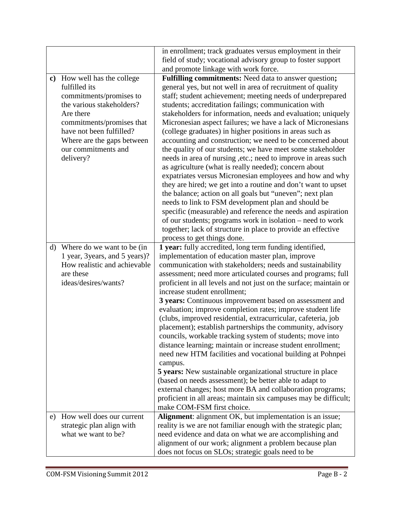|         |                                | in enrollment; track graduates versus employment in their                                         |
|---------|--------------------------------|---------------------------------------------------------------------------------------------------|
|         |                                | field of study; vocational advisory group to foster support                                       |
|         |                                | and promote linkage with work force.                                                              |
|         | c) How well has the college    | Fulfilling commitments: Need data to answer question;                                             |
|         | fulfilled its                  | general yes, but not well in area of recruitment of quality                                       |
|         | commitments/promises to        | staff; student achievement; meeting needs of underprepared                                        |
|         | the various stakeholders?      | students; accreditation failings; communication with                                              |
|         | Are there                      | stakeholders for information, needs and evaluation; uniquely                                      |
|         | commitments/promises that      | Micronesian aspect failures; we have a lack of Micronesians                                       |
|         | have not been fulfilled?       | (college graduates) in higher positions in areas such as                                          |
|         | Where are the gaps between     | accounting and construction; we need to be concerned about                                        |
|         | our commitments and            | the quality of our students; we have meet some stakeholder                                        |
|         | delivery?                      | needs in area of nursing, etc.; need to improve in areas such                                     |
|         |                                | as agriculture (what is really needed); concern about                                             |
|         |                                | expatriates versus Micronesian employees and how and why                                          |
|         |                                | they are hired; we get into a routine and don't want to upset                                     |
|         |                                | the balance; action on all goals but "uneven"; next plan                                          |
|         |                                | needs to link to FSM development plan and should be                                               |
|         |                                | specific (measurable) and reference the needs and aspiration                                      |
|         |                                | of our students; programs work in isolation – need to work                                        |
|         |                                | together; lack of structure in place to provide an effective                                      |
|         |                                | process to get things done.                                                                       |
| $\rm d$ | Where do we want to be (in     | 1 year: fully accredited, long term funding identified,                                           |
|         | 1 year, 3 years, and 5 years)? | implementation of education master plan, improve                                                  |
|         | How realistic and achievable   | communication with stakeholders; needs and sustainability                                         |
|         | are these                      | assessment; need more articulated courses and programs; full                                      |
|         | ideas/desires/wants?           | proficient in all levels and not just on the surface; maintain or<br>increase student enrollment; |
|         |                                | 3 years: Continuous improvement based on assessment and                                           |
|         |                                | evaluation; improve completion rates; improve student life                                        |
|         |                                | (clubs, improved residential, extracurricular, cafeteria, job                                     |
|         |                                | placement); establish partnerships the community, advisory                                        |
|         |                                | councils, workable tracking system of students; move into                                         |
|         |                                | distance learning; maintain or increase student enrollment;                                       |
|         |                                | need new HTM facilities and vocational building at Pohnpei                                        |
|         |                                | campus.                                                                                           |
|         |                                | <b>5 years:</b> New sustainable organizational structure in place                                 |
|         |                                | (based on needs assessment); be better able to adapt to                                           |
|         |                                | external changes; host more BA and collaboration programs;                                        |
|         |                                | proficient in all areas; maintain six campuses may be difficult;                                  |
|         |                                | make COM-FSM first choice.                                                                        |
| e)      | How well does our current      | Alignment: alignment OK, but implementation is an issue;                                          |
|         | strategic plan align with      | reality is we are not familiar enough with the strategic plan;                                    |
|         | what we want to be?            | need evidence and data on what we are accomplishing and                                           |
|         |                                | alignment of our work; alignment a problem because plan                                           |
|         |                                | does not focus on SLOs; strategic goals need to be                                                |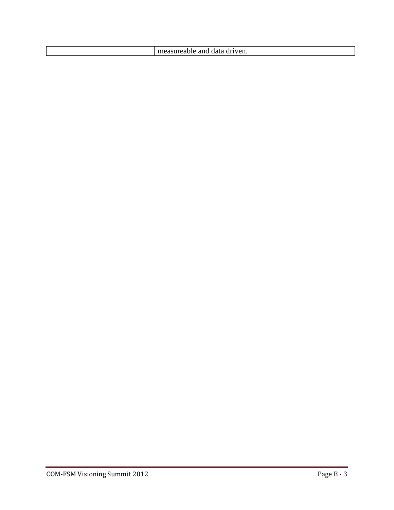| . |  | veli.<br>анс |
|---|--|--------------|
|---|--|--------------|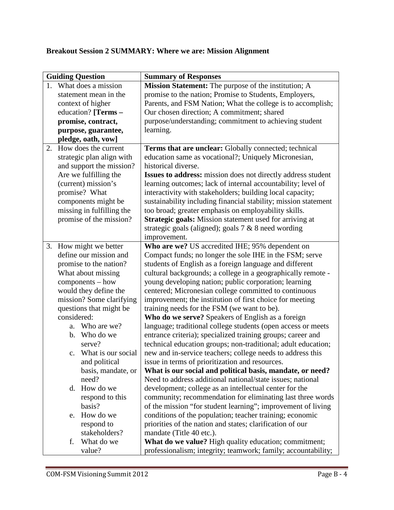# **Breakout Session 2 SUMMARY: Where we are: Mission Alignment**

| <b>Guiding Question</b>    | <b>Summary of Responses</b>                                     |
|----------------------------|-----------------------------------------------------------------|
| 1. What does a mission     | Mission Statement: The purpose of the institution; A            |
| statement mean in the      | promise to the nation; Promise to Students, Employers,          |
| context of higher          | Parents, and FSM Nation; What the college is to accomplish;     |
| education? [Terms -        | Our chosen direction; A commitment; shared                      |
| promise, contract,         | purpose/understanding; commitment to achieving student          |
| purpose, guarantee,        | learning.                                                       |
| pledge, oath, vow]         |                                                                 |
| How does the current<br>2. | Terms that are unclear: Globally connected; technical           |
| strategic plan align with  | education same as vocational?; Uniquely Micronesian,            |
| and support the mission?   | historical diverse.                                             |
| Are we fulfilling the      | Issues to address: mission does not directly address student    |
| (current) mission's        | learning outcomes; lack of internal accountability; level of    |
| promise? What              | interactivity with stakeholders; building local capacity;       |
| components might be        | sustainability including financial stability; mission statement |
| missing in fulfilling the  | too broad; greater emphasis on employability skills.            |
| promise of the mission?    | Strategic goals: Mission statement used for arriving at         |
|                            | strategic goals (aligned); goals $7 & 8$ need wording           |
|                            | improvement.                                                    |
| How might we better<br>3.  | Who are we? US accredited IHE; 95% dependent on                 |
| define our mission and     | Compact funds; no longer the sole IHE in the FSM; serve         |
| promise to the nation?     | students of English as a foreign language and different         |
| What about missing         | cultural backgrounds; a college in a geographically remote -    |
| components - how           | young developing nation; public corporation; learning           |
| would they define the      | centered; Micronesian college committed to continuous           |
| mission? Some clarifying   | improvement; the institution of first choice for meeting        |
| questions that might be    | training needs for the FSM (we want to be).                     |
| considered:                | Who do we serve? Speakers of English as a foreign               |
| Who are we?<br>a.          | language; traditional college students (open access or meets    |
| b. Who do we               | entrance criteria); specialized training groups; career and     |
| serve?                     | technical education groups; non-traditional; adult education;   |
| c. What is our social      | new and in-service teachers; college needs to address this      |
| and political              | issue in terms of prioritization and resources.                 |
| basis, mandate, or         | What is our social and political basis, mandate, or need?       |
| need?                      | Need to address additional national/state issues; national      |
| How do we<br>d.            | development; college as an intellectual center for the          |
| respond to this            | community; recommendation for eliminating last three words      |
| basis?                     | of the mission "for student learning"; improvement of living    |
| How do we<br>e.            | conditions of the population; teacher training; economic        |
| respond to                 | priorities of the nation and states; clarification of our       |
| stakeholders?              | mandate (Title 40 etc.).                                        |
| What do we<br>f.           | What do we value? High quality education; commitment;           |
| value?                     | professionalism; integrity; teamwork; family; accountability;   |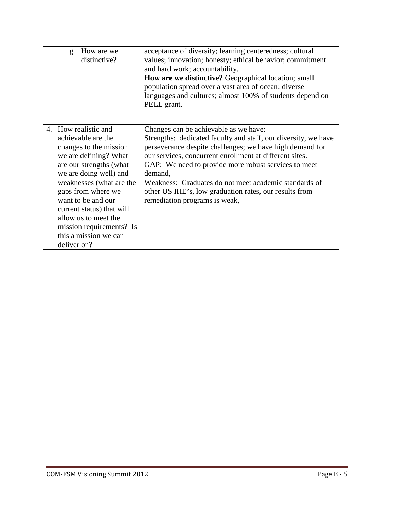| How are we<br>g.<br>distinctive?                                                                                                                                                                                                                                                                                                                    | acceptance of diversity; learning centeredness; cultural<br>values; innovation; honesty; ethical behavior; commitment<br>and hard work; accountability.<br><b>How are we distinctive?</b> Geographical location; small<br>population spread over a vast area of ocean; diverse<br>languages and cultures; almost 100% of students depend on<br>PELL grant.                                                                                            |
|-----------------------------------------------------------------------------------------------------------------------------------------------------------------------------------------------------------------------------------------------------------------------------------------------------------------------------------------------------|-------------------------------------------------------------------------------------------------------------------------------------------------------------------------------------------------------------------------------------------------------------------------------------------------------------------------------------------------------------------------------------------------------------------------------------------------------|
| 4. How realistic and<br>achievable are the<br>changes to the mission<br>we are defining? What<br>are our strengths (what<br>we are doing well) and<br>weaknesses (what are the<br>gaps from where we<br>want to be and our<br>current status) that will<br>allow us to meet the<br>mission requirements? Is<br>this a mission we can<br>deliver on? | Changes can be achievable as we have:<br>Strengths: dedicated faculty and staff, our diversity, we have<br>perseverance despite challenges; we have high demand for<br>our services, concurrent enrollment at different sites.<br>GAP: We need to provide more robust services to meet<br>demand.<br>Weakness: Graduates do not meet academic standards of<br>other US IHE's, low graduation rates, our results from<br>remediation programs is weak, |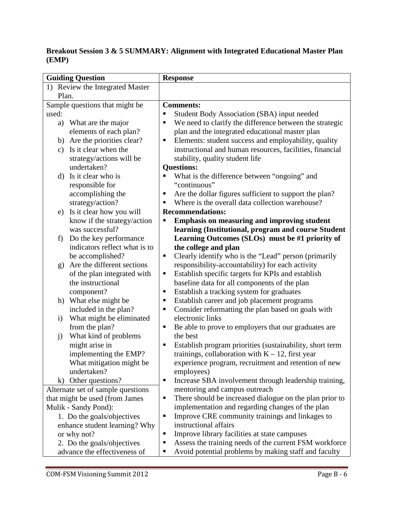# **Breakout Session 3 & 5 SUMMARY: Alignment with Integrated Educational Master Plan (EMP)**

| <b>Guiding Question</b>                      | <b>Response</b>                                                         |
|----------------------------------------------|-------------------------------------------------------------------------|
| 1) Review the Integrated Master              |                                                                         |
| Plan.                                        |                                                                         |
| Sample questions that might be               | <b>Comments:</b>                                                        |
| used:                                        | Student Body Association (SBA) input needed<br>٠                        |
| What are the major<br>a)                     | We need to clarify the difference between the strategic<br>П            |
| elements of each plan?                       | plan and the integrated educational master plan                         |
| b) Are the priorities clear?                 | Elements: student success and employability, quality<br>Е               |
| Is it clear when the<br>$\mathbf{c})$        | instructional and human resources, facilities, financial                |
| strategy/actions will be                     | stability, quality student life                                         |
| undertaken?                                  | <b>Questions:</b>                                                       |
| Is it clear who is<br>d)                     | What is the difference between "ongoing" and<br>П                       |
| responsible for                              | "continuous"                                                            |
| accomplishing the                            | Are the dollar figures sufficient to support the plan?<br>п             |
| strategy/action?                             | Where is the overall data collection warehouse?<br>٠                    |
| Is it clear how you will<br>e)               | <b>Recommendations:</b>                                                 |
| know if the strategy/action                  | <b>Emphasis on measuring and improving student</b>                      |
| was successful?                              | learning (Institutional, program and course Student                     |
| Do the key performance<br>f)                 | Learning Outcomes (SLOs) must be #1 priority of                         |
| indicators reflect what is to                | the college and plan                                                    |
| be accomplished?                             | Clearly identify who is the "Lead" person (primarily<br>п               |
| Are the different sections<br>$\mathbf{g}$ ) | responsibility-accountability) for each activity                        |
| of the plan integrated with                  | Establish specific targets for KPIs and establish<br>Е                  |
| the instructional                            | baseline data for all components of the plan                            |
| component?                                   | Establish a tracking system for graduates<br>Е                          |
| What else might be<br>h)                     | Establish career and job placement programs<br>Е                        |
| included in the plan?                        | Consider reformatting the plan based on goals with<br>Е                 |
| What might be eliminated<br>$\mathbf{i}$     | electronic links                                                        |
| from the plan?                               | Be able to prove to employers that our graduates are<br>Е               |
| What kind of problems<br>j)                  | the best                                                                |
| might arise in                               | Establish program priorities (sustainability, short term<br>п           |
| implementing the EMP?                        | trainings, collaboration with $K - 12$ , first year                     |
| What mitigation might be                     | experience program, recruitment and retention of new                    |
| undertaken?                                  | employees)                                                              |
| k) Other questions?                          | Increase SBA involvement through leadership training,<br>$\blacksquare$ |
| Alternate set of sample questions            | mentoring and campus outreach                                           |
| that might be used (from James               | There should be increased dialogue on the plan prior to<br>п            |
| Mulik - Sandy Pond):                         | implementation and regarding changes of the plan                        |
| 1. Do the goals/objectives                   | Improve CRE community trainings and linkages to<br>Е                    |
| enhance student learning? Why                | instructional affairs                                                   |
| or why not?                                  | Improve library facilities at state campuses<br>٠                       |
| 2. Do the goals/objectives                   | Assess the training needs of the current FSM workforce<br>П             |
| advance the effectiveness of                 | Avoid potential problems by making staff and faculty<br>п               |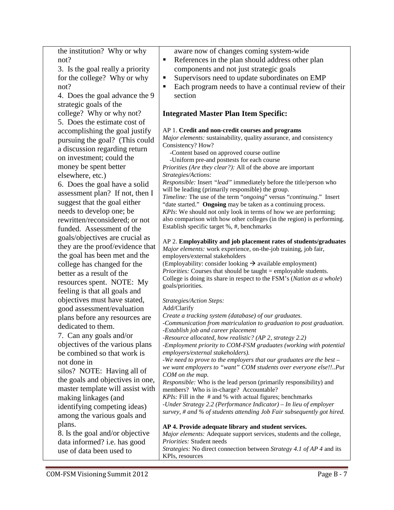|               |  |  | the institution? Why or why |  |  |
|---------------|--|--|-----------------------------|--|--|
| not?          |  |  |                             |  |  |
| $\sim$ $\sim$ |  |  |                             |  |  |

3. Is the goal really a priority for the college? Why or why not?

4. Does the goal advance the 9 strategic goals of the

college? Why or why not? 5. Does the estimate cost of accomplishing the goal justify pursuing the goal? (This could a discussion regarding return on investment; could the money be spent better elsewhere, etc.)

6. Does the goal have a solid assessment plan? If not, then I suggest that the goal either needs to develop one; be rewritten/reconsidered; or not funded. Assessment of the goals/objectives are crucial as they are the proof/evidence that the goal has been met and the college has changed for the better as a result of the resources spent. NOTE: My feeling is that all goals and objectives must have stated, good assessment/evaluation plans before any resources are dedicated to them.

7. Can any goals and/or objectives of the various plans be combined so that work is not done in

silos? NOTE: Having all of the goals and objectives in one, master template will assist with making linkages (and identifying competing ideas) among the various goals and plans.

8. Is the goal and/or objective data informed? i.e. has good use of data been used to

- aware now of changes coming system-wide References in the plan should address other plan components and not just strategic goals
- Supervisors need to update subordinates on EMP
- Each program needs to have a continual review of their section

# **Integrated Master Plan Item Specific:**

#### AP 1. **Credit and non-credit courses and programs**

*Major elements:* sustainability, quality assurance, and consistency Consistency? How?

-Content based on approved course outline

-Uniform pre-and posttests for each course

*Priorities (Are they clear?):* All of the above are important *Strategies/Actions:* 

*Responsible:* Insert *"lead"* immediately before the title/person who will be leading (primarily responsible) the group.

*Timeline:* The use of the term "*ongoing*" versus "*continuing*." Insert "date started." **Ongoing** may be taken as a continuing process. *KPIs*: We should not only look in terms of how we are performing; also comparison with how other colleges (in the region) is performing. Establish specific target %, #, benchmarks

# AP 2. **Employability and job placement rates of students/graduates**

*Major elements:* work experience, on-the-job training, job fair, employers/external stakeholders

(Employability: consider looking  $\rightarrow$  available employment) *Priorities:* Courses that should be taught = employable students. College is doing its share in respect to the FSM's (*Nation as a whole*) goals/priorities.

#### *Strategies/Action Steps:*

Add/Clarify

*Create a tracking system (database) of our graduates.*

*-Communication from matriculation to graduation to post graduation. -Establish job and career placement*

*-Resource allocated, how realistic? (AP 2, strategy 2.2)*

*-Employment priority to COM-FSM graduates (working with potential employers/external stakeholders).*

*-We need to prove to the employers that our graduates are the best – we want employers to "want" COM students over everyone else!!..Put COM on the map.*

*Responsible:* Who is the lead person (primarily responsibility) and members? Who is in-charge? Accountable?

*KPIs:* Fill in the # and % with actual figures; benchmarks

*-Under Strategy 2.2 (Performance Indicator) – In lieu of employer survey, # and % of students attending Job Fair subsequently got hired.*

#### **AP 4. Provide adequate library and student services.**

*Major elements:* Adequate support services, students and the college, *Priorities:* Student needs

*Strategies:* No direct connection between *Strategy 4.1 of AP 4* and its KPIs, resources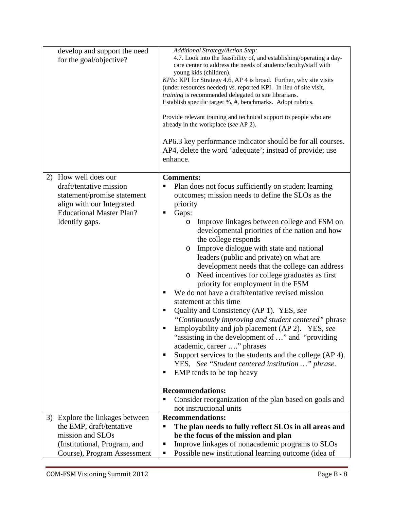| develop and support the need<br>for the goal/objective?                                                                                                             | Additional Strategy/Action Step:<br>4.7. Look into the feasibility of, and establishing/operating a day-<br>care center to address the needs of students/faculty/staff with<br>young kids (children).<br>KPIs: KPI for Strategy 4.6, AP 4 is broad. Further, why site visits<br>(under resources needed) vs. reported KPI. In lieu of site visit,<br>training is recommended delegated to site librarians.<br>Establish specific target %, #, benchmarks. Adopt rubrics.<br>Provide relevant training and technical support to people who are<br>already in the workplace (see AP 2).<br>AP6.3 key performance indicator should be for all courses.<br>AP4, delete the word 'adequate'; instead of provide; use<br>enhance.                                                                                                                                                                                                                                                                                                                                                                                                   |
|---------------------------------------------------------------------------------------------------------------------------------------------------------------------|-------------------------------------------------------------------------------------------------------------------------------------------------------------------------------------------------------------------------------------------------------------------------------------------------------------------------------------------------------------------------------------------------------------------------------------------------------------------------------------------------------------------------------------------------------------------------------------------------------------------------------------------------------------------------------------------------------------------------------------------------------------------------------------------------------------------------------------------------------------------------------------------------------------------------------------------------------------------------------------------------------------------------------------------------------------------------------------------------------------------------------|
| How well does our<br>2)<br>draft/tentative mission<br>statement/promise statement<br>align with our Integrated<br><b>Educational Master Plan?</b><br>Identify gaps. | <b>Comments:</b><br>Plan does not focus sufficiently on student learning<br>outcomes; mission needs to define the SLOs as the<br>priority<br>Gaps:<br>п<br>Improve linkages between college and FSM on<br>$\circ$<br>developmental priorities of the nation and how<br>the college responds<br>Improve dialogue with state and national<br>O<br>leaders (public and private) on what are<br>development needs that the college can address<br>Need incentives for college graduates as first<br>$\circ$<br>priority for employment in the FSM<br>We do not have a draft/tentative revised mission<br>п<br>statement at this time<br>Quality and Consistency (AP 1). YES, see<br>п<br>"Continuously improving and student centered" phrase<br>Employability and job placement (AP 2). YES, see<br>"assisting in the development of " and "providing"<br>academic, career " phrases<br>Support services to the students and the college (AP 4).<br>YES, See "Student centered institution " phrase.<br>EMP tends to be top heavy<br>п<br><b>Recommendations:</b><br>Consider reorganization of the plan based on goals and<br>п |
| 3) Explore the linkages between<br>the EMP, draft/tentative<br>mission and SLOs<br>(Institutional, Program, and<br>Course), Program Assessment                      | not instructional units<br><b>Recommendations:</b><br>The plan needs to fully reflect SLOs in all areas and<br>$\blacksquare$<br>be the focus of the mission and plan<br>Improve linkages of nonacademic programs to SLOs<br>п<br>Possible new institutional learning outcome (idea of<br>п                                                                                                                                                                                                                                                                                                                                                                                                                                                                                                                                                                                                                                                                                                                                                                                                                                   |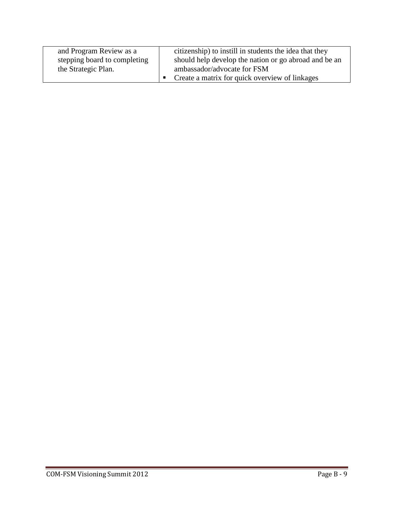| and Program Review as a      | citizenship) to instill in students the idea that they |
|------------------------------|--------------------------------------------------------|
| stepping board to completing | should help develop the nation or go abroad and be an  |
| the Strategic Plan.          | ambassador/advocate for FSM                            |
|                              | • Create a matrix for quick overview of linkages       |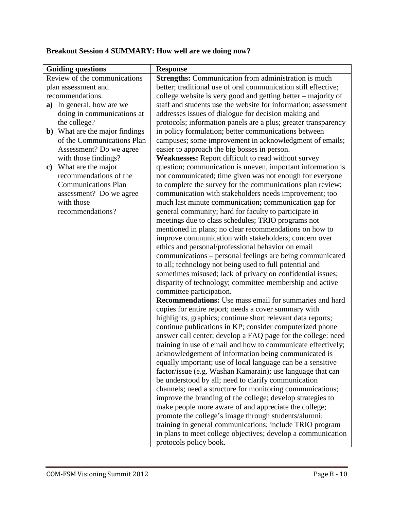| <b>Guiding questions</b>               | <b>Response</b>                                                |  |  |
|----------------------------------------|----------------------------------------------------------------|--|--|
| Review of the communications           | <b>Strengths:</b> Communication from administration is much    |  |  |
| plan assessment and                    | better; traditional use of oral communication still effective; |  |  |
| recommendations.                       | college website is very good and getting better – majority of  |  |  |
| a) In general, how are we              | staff and students use the website for information; assessment |  |  |
| doing in communications at             | addresses issues of dialogue for decision making and           |  |  |
| the college?                           | protocols; information panels are a plus; greater transparency |  |  |
| <b>b</b> ) What are the major findings | in policy formulation; better communications between           |  |  |
| of the Communications Plan             | campuses; some improvement in acknowledgment of emails;        |  |  |
| Assessment? Do we agree                | easier to approach the big bosses in person.                   |  |  |
| with those findings?                   | Weaknesses: Report difficult to read without survey            |  |  |
| What are the major<br>$\mathbf{c})$    | question; communication is uneven, important information is    |  |  |
| recommendations of the                 | not communicated; time given was not enough for everyone       |  |  |
| <b>Communications Plan</b>             | to complete the survey for the communications plan review;     |  |  |
| assessment? Do we agree                | communication with stakeholders needs improvement; too         |  |  |
| with those                             | much last minute communication; communication gap for          |  |  |
| recommendations?                       | general community; hard for faculty to participate in          |  |  |
|                                        | meetings due to class schedules; TRIO programs not             |  |  |
|                                        | mentioned in plans; no clear recommendations on how to         |  |  |
|                                        | improve communication with stakeholders; concern over          |  |  |
|                                        | ethics and personal/professional behavior on email             |  |  |
|                                        | communications - personal feelings are being communicated      |  |  |
|                                        | to all; technology not being used to full potential and        |  |  |
|                                        | sometimes misused; lack of privacy on confidential issues;     |  |  |
|                                        | disparity of technology; committee membership and active       |  |  |
|                                        | committee participation.                                       |  |  |
|                                        | <b>Recommendations:</b> Use mass email for summaries and hard  |  |  |
|                                        | copies for entire report; needs a cover summary with           |  |  |
|                                        | highlights, graphics; continue short relevant data reports;    |  |  |
|                                        | continue publications in KP; consider computerized phone       |  |  |
|                                        | answer call center; develop a FAQ page for the college: need   |  |  |
|                                        | training in use of email and how to communicate effectively;   |  |  |
|                                        | acknowledgement of information being communicated is           |  |  |
|                                        | equally important; use of local language can be a sensitive    |  |  |
|                                        | factor/issue (e.g. Washan Kamarain); use language that can     |  |  |
|                                        | be understood by all; need to clarify communication            |  |  |
|                                        | channels; need a structure for monitoring communications;      |  |  |
|                                        | improve the branding of the college; develop strategies to     |  |  |
|                                        | make people more aware of and appreciate the college;          |  |  |
|                                        | promote the college's image through students/alumni;           |  |  |
|                                        | training in general communications; include TRIO program       |  |  |
|                                        | in plans to meet college objectives; develop a communication   |  |  |
|                                        | protocols policy book.                                         |  |  |

# **Breakout Session 4 SUMMARY: How well are we doing now?**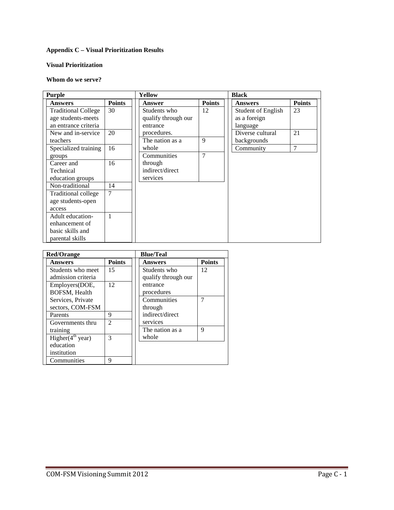#### **Appendix C – Visual Prioritization Results**

#### **Visual Prioritization**

#### **Whom do we serve?**

| <b>Purple</b>              |               | Yellow              |                | <b>Black</b>              |               |
|----------------------------|---------------|---------------------|----------------|---------------------------|---------------|
| <b>Answers</b>             | <b>Points</b> | <b>Answer</b>       | <b>Points</b>  | <b>Answers</b>            | <b>Points</b> |
| <b>Traditional College</b> | 30            | Students who        | 12             | <b>Student of English</b> | 23            |
| age students-meets         |               | qualify through our |                | as a foreign              |               |
| an entrance criteria       |               | entrance            |                | language                  |               |
| New and in-service         | 20            | procedures.         |                | Diverse cultural          | 21            |
| teachers                   |               | The nation as a     | 9              | backgrounds               |               |
| Specialized training       | 16            | whole               |                | Community                 | 7             |
| groups                     |               | Communities         | $\overline{7}$ |                           |               |
| Career and                 | 16            | through             |                |                           |               |
| Technical                  |               | indirect/direct     |                |                           |               |
| education groups           |               | services            |                |                           |               |
| Non-traditional            | 14            |                     |                |                           |               |
| Traditional college        | $\tau$        |                     |                |                           |               |
| age students-open          |               |                     |                |                           |               |
| access                     |               |                     |                |                           |               |
| Adult education-           | 1             |                     |                |                           |               |
| enhancement of             |               |                     |                |                           |               |
| basic skills and           |               |                     |                |                           |               |
| parental skills            |               |                     |                |                           |               |

| <b>Red/Orange</b>      |                |  | <b>Blue/Teal</b>    |               |  |
|------------------------|----------------|--|---------------------|---------------|--|
| <b>Answers</b>         | <b>Points</b>  |  | Answers             | <b>Points</b> |  |
| Students who meet      | 15             |  | Students who        | 12            |  |
| admission criteria     |                |  | qualify through our |               |  |
| Employers(DOE,         | 12             |  | entrance            |               |  |
| BOFSM, Health          |                |  | procedures          |               |  |
| Services, Private      |                |  | Communities         | 7             |  |
| sectors, COM-FSM       |                |  | through             |               |  |
| Parents                | 9              |  | indirect/direct     |               |  |
| Governments thru       | $\mathfrak{D}$ |  | services            |               |  |
| training               |                |  | The nation as a     | 9             |  |
| Higher $(4^{th}$ year) | 3              |  | whole               |               |  |
| education              |                |  |                     |               |  |
| institution            |                |  |                     |               |  |
| Communities            | 9              |  |                     |               |  |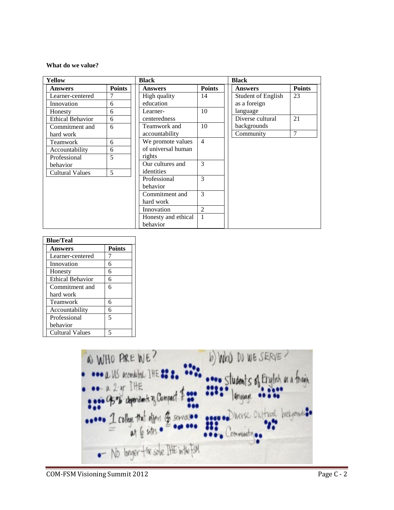#### **What do we value?**

| Yellow                  |               | <b>Black</b>        |                | <b>Black</b>                    |  |
|-------------------------|---------------|---------------------|----------------|---------------------------------|--|
| <b>Answers</b>          | <b>Points</b> | <b>Answers</b>      | <b>Points</b>  | <b>Points</b><br><b>Answers</b> |  |
| Learner-centered        | 7             | High quality        | 14             | 23<br><b>Student of English</b> |  |
| Innovation              | 6             | education           |                | as a foreign                    |  |
| Honesty                 | 6             | Learner-            | 10             | language                        |  |
| <b>Ethical Behavior</b> | 6             | centeredness        |                | 21<br>Diverse cultural          |  |
| Commitment and          | 6             | Teamwork and        | 10             | backgrounds                     |  |
| hard work               |               | accountability      |                | $\overline{7}$<br>Community     |  |
| Teamwork                | 6             | We promote values   | $\overline{4}$ |                                 |  |
| Accountability          | 6             | of universal human  |                |                                 |  |
| Professional            | 5             | rights              |                |                                 |  |
| behavior                |               | Our cultures and    | $\mathcal{E}$  |                                 |  |
| <b>Cultural Values</b>  | 5             | identities          |                |                                 |  |
|                         |               | Professional        | 3              |                                 |  |
|                         |               | behavior            |                |                                 |  |
|                         |               | Commitment and      | 3              |                                 |  |
|                         |               | hard work           |                |                                 |  |
|                         |               | Innovation          | $\overline{2}$ |                                 |  |
|                         |               | Honesty and ethical |                |                                 |  |
|                         |               | behavior            |                |                                 |  |

| <b>Blue/Teal</b>        |               |  |  |  |
|-------------------------|---------------|--|--|--|
| Answers                 | <b>Points</b> |  |  |  |
| Learner-centered        |               |  |  |  |
| Innovation              | 6             |  |  |  |
| Honesty                 | 6             |  |  |  |
| <b>Ethical Behavior</b> | 6             |  |  |  |
| Commitment and          | 6             |  |  |  |
| hard work               |               |  |  |  |
| Teamwork                | 6             |  |  |  |
| Accountability          | 6             |  |  |  |
| Professional            | 5             |  |  |  |
| behavior                |               |  |  |  |
| <b>Cultural Values</b>  |               |  |  |  |

@ WHO PRE WE? b) Who DO WE SERVE? **ODO a** US acordited THE 88 8. ... stude ish as a toninh ... a 2-15 IHE<br>... 95% dependent of Compact \$ ... . ... *Griguare* .... 1 college that offers & services and there chiltered backgrounds. - No longer the sole IHE in the FSN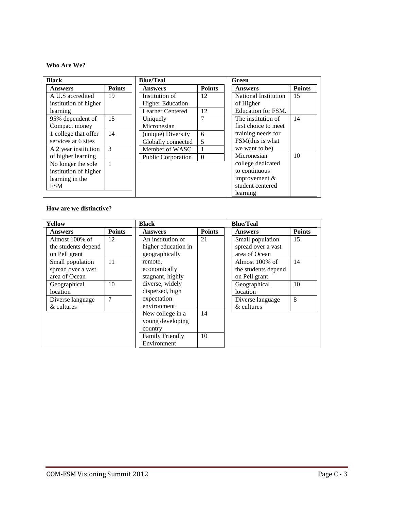#### **Who Are We?**

| <b>Black</b>          |               | <b>Blue/Teal</b>        |               | Green                |               |
|-----------------------|---------------|-------------------------|---------------|----------------------|---------------|
| <b>Answers</b>        | <b>Points</b> | <b>Answers</b>          | <b>Points</b> | <b>Answers</b>       | <b>Points</b> |
| A U.S accredited      | 19            | Institution of          | 12            | National Institution | 15            |
| institution of higher |               | <b>Higher Education</b> |               | of Higher            |               |
| learning              |               | <b>Learner Centered</b> | 12            | Education for FSM.   |               |
| 95% dependent of      | 15            | Uniquely                | 7             | The institution of   | 14            |
| Compact money         |               | Micronesian             |               | first choice to meet |               |
| 1 college that offer  | 14            | (unique) Diversity      | 6             | training needs for   |               |
| services at 6 sites   |               | Globally connected      | 5             | FSM(this is what     |               |
| A 2 year institution  | $\mathcal{E}$ | Member of WASC          |               | we want to be)       |               |
| of higher learning    |               | Public Corporation      | $\Omega$      | Micronesian          | 10            |
| No longer the sole    | $\mathbf{1}$  |                         |               | college dedicated    |               |
| institution of higher |               |                         |               | to continuous        |               |
| learning in the       |               |                         |               | improvement $&$      |               |
| <b>FSM</b>            |               |                         |               | student centered     |               |
|                       |               |                         |               | learning             |               |

#### **How are we distinctive?**

| Yellow              |               | Black                  |               | <b>Blue/Teal</b>    |               |
|---------------------|---------------|------------------------|---------------|---------------------|---------------|
| <b>Answers</b>      | <b>Points</b> | <b>Answers</b>         | <b>Points</b> | <b>Answers</b>      | <b>Points</b> |
| Almost $100\%$ of   | 12            | An institution of      | 21            | Small population    | 15            |
| the students depend |               | higher education in    |               | spread over a vast  |               |
| on Pell grant       |               | geographically         |               | area of Ocean       |               |
| Small population    | 11            | remote.                |               | Almost $100\%$ of   | 14            |
| spread over a vast  |               | economically           |               | the students depend |               |
| area of Ocean       |               | stagnant, highly       |               | on Pell grant       |               |
| Geographical        | 10            | diverse, widely        |               | Geographical        | 10            |
| location            |               | dispersed, high        |               | location            |               |
| Diverse language    | 7             | expectation            |               | Diverse language    | 8             |
| & cultures          |               | environment            |               | & cultures          |               |
|                     |               | New college in a       | 14            |                     |               |
|                     |               | young developing       |               |                     |               |
|                     |               | country                |               |                     |               |
|                     |               | <b>Family Friendly</b> | 10            |                     |               |
|                     |               | Environment            |               |                     |               |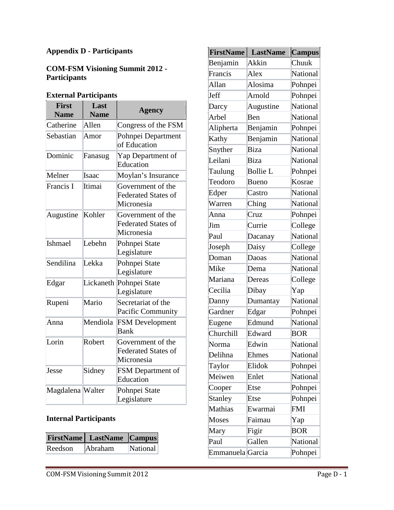# **Appendix D - Participants**

# **COM-FSM Visioning Summit 2012 - Participants**

# **External Participants**

| <b>First</b><br><b>Name</b> | Last<br><b>Name</b> | Agency                                                        |
|-----------------------------|---------------------|---------------------------------------------------------------|
| Catherine                   | Allen               | Congress of the FSM                                           |
| Sebastian                   | Amor                | Pohnpei Department<br>of Education                            |
| Dominic                     | Fanasug             | Yap Department of<br>Education                                |
| Melner                      | Isaac               | Moylan's Insurance                                            |
| Francis I                   | Itimai              | Government of the<br><b>Federated States of</b><br>Micronesia |
| Augustine                   | Kohler              | Government of the<br><b>Federated States of</b><br>Micronesia |
| Ishmael                     | Lebehn              | Pohnpei State<br>Legislature                                  |
| Sendilina                   | Lekka               | Pohnpei State<br>Legislature                                  |
| Edgar                       | Lickaneth           | Pohnpei State<br>Legislature                                  |
| Rupeni                      | Mario               | Secretariat of the<br>Pacific Community                       |
| Anna                        | Mendiola            | <b>FSM</b> Development<br><b>Bank</b>                         |
| Lorin                       | Robert              | Government of the<br><b>Federated States of</b><br>Micronesia |
| Jesse                       | Sidney              | <b>FSM</b> Department of<br>Education                         |
| Magdalena Walter            |                     | Pohnpei State<br>Legislature                                  |

# **Internal Participants**

|         | <b>FirstName</b> LastName Campus |          |
|---------|----------------------------------|----------|
| Reedson | Abraham                          | National |

| <b>FirstName</b> | <b>LastName</b> | <b>Campus</b>   |
|------------------|-----------------|-----------------|
| Benjamin         | Akkin           | Chuuk           |
| Francis          | Alex            | National        |
| Allan            | Alosima         | Pohnpei         |
| Jeff             | Arnold          | Pohnpei         |
| Darcy            | Augustine       | National        |
| Arbel            | Ben             | <b>National</b> |
| Alipherta        | Benjamin        | Pohnpei         |
| Kathy            | Benjamin        | National        |
| Snyther          | Biza            | <b>National</b> |
| Leilani          | Biza            | National        |
| Taulung          | <b>Bollie L</b> | Pohnpei         |
| Teodoro          | <b>Bueno</b>    | Kosrae          |
| Edper            | Castro          | National        |
| Warren           | Ching           | <b>National</b> |
| Anna             | Cruz            | Pohnpei         |
| Jim              | Currie          | College         |
| Paul             | Dacanay         | <b>National</b> |
| Joseph           | Daisy           | College         |
| Doman            | Daoas           | National        |
| Mike             | Dema            | National        |
| Mariana          | Dereas          | College         |
| Cecilia          | Dibay           | Yap             |
| Danny            | Dumantay        | National        |
| Gardner          | Edgar           | Pohnpei         |
| Eugene           | Edmund          | National        |
| Churchill        | Edward          | <b>BOR</b>      |
| Norma            | Edwin           | National        |
| Delihna          | Ehmes           | National        |
| Taylor           | Elidok          | Pohnpei         |
| Meiwen           | Enlet           | National        |
| Cooper           | Etse            | Pohnpei         |
| <b>Stanley</b>   | Etse            | Pohnpei         |
| Mathias          | Ewarmai         | <b>FMI</b>      |
| Moses            | Faimau          | Yap             |
| Mary             | Figir           | <b>BOR</b>      |
| Paul             | Gallen          | National        |
| Emmanuela Garcia |                 | Pohnpei         |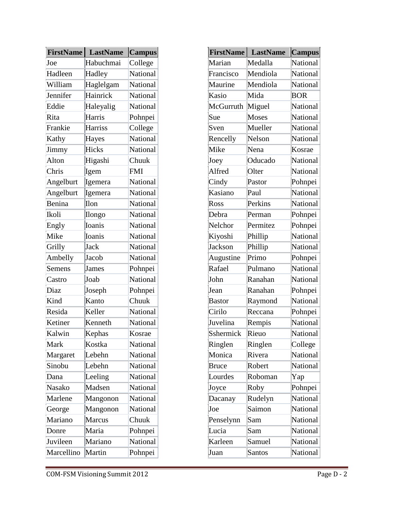| <b>FirstName</b> | <b>LastName</b> | <b>Campus</b>   |
|------------------|-----------------|-----------------|
| Joe              | Habuchmai       | College         |
| Hadleen          | Hadley          | National        |
| William          | Haglelgam       | National        |
| Jennifer         | Hainrick        | National        |
| Eddie            | Haleyalig       | National        |
| Rita             | Harris          | Pohnpei         |
| Frankie          | Harriss         | College         |
| Kathy            | Hayes           | <b>National</b> |
| Jimmy            | Hicks           | National        |
| Alton            | Higashi         | Chuuk           |
| Chris            | Igem            | <b>FMI</b>      |
| Angelburt        | Igemera         | National        |
| Angelburt        | Igemera         | <b>National</b> |
| Benina           | Ilon            | National        |
| Ikoli            | Ilongo          | National        |
| Engly            | Ioanis          | <b>National</b> |
| Mike             | Ioanis          | National        |
| Grilly           | Jack            | National        |
| Ambelly          | Jacob           | National        |
| Semens           | James           | Pohnpei         |
| Castro           | Joab            | National        |
| Diaz             | Joseph          | Pohnpei         |
| Kind             | Kanto           | Chuuk           |
| Resida           | Keller          | National        |
| Ketiner          | Kenneth         | National        |
| Kalwin           | Kephas          | Kosrae          |
| Mark             | Kostka          | National        |
| Margaret         | Lebehn          | National        |
| Sinobu           | Lebehn          | National        |
| Dana             | Leeling         | National        |
| Nasako           | Madsen          | National        |
| Marlene          | Mangonon        | <b>National</b> |
| George           | Mangonon        | National        |
| Mariano          | Marcus          | Chuuk           |
| Donre            | Maria           | Pohnpei         |
| Juvileen         | Mariano         | National        |
| Marcellino       | Martin          | Pohnpei         |

| <b>FirstName</b> | <b>LastName</b> | <b>Campus</b>   |
|------------------|-----------------|-----------------|
| Marian           | Medalla         | <b>National</b> |
| Francisco        | Mendiola        | National        |
| Maurine          | Mendiola        | National        |
| Kasio            | Mida            | <b>BOR</b>      |
| McGurruth        | Miguel          | National        |
| Sue              | Moses           | National        |
| Sven             | Mueller         | National        |
| Rencelly         | Nelson          | National        |
| Mike             | Nena            | Kosrae          |
| Joey             | Oducado         | <b>National</b> |
| Alfred           | Olter           | <b>National</b> |
| Cindy            | Pastor          | Pohnpei         |
| Kasiano          | Paul            | National        |
| Ross             | Perkins         | National        |
| Debra            | Perman          | Pohnpei         |
| Nelchor          | Permitez        | Pohnpei         |
| Kiyoshi          | Phillip         | <b>National</b> |
| <b>Jackson</b>   | Phillip         | National        |
| Augustine        | Primo           | Pohnpei         |
| Rafael           | Pulmano         | <b>National</b> |
| John             | Ranahan         | National        |
| Jean             | Ranahan         | Pohnpei         |
| <b>Bastor</b>    | Raymond         | National        |
| Cirilo           | Reccana         | Pohnpei         |
| Juvelina         | Rempis          | National        |
| Sshermick        | Rieuo           | National        |
| Ringlen          | Ringlen         | College         |
| Monica           | Rivera          | National        |
| <b>Bruce</b>     | Robert          | National        |
| Lourdes          | Roboman         | Yap             |
| Joyce            | Roby            | Pohnpei         |
| Dacanay          | Rudelyn         | National        |
| Joe              | Saimon          | National        |
| Penselynn        | Sam             | National        |
| Lucia            | Sam             | <b>National</b> |
| Karleen          | Samuel          | National        |
| Juan             | <b>Santos</b>   | National        |